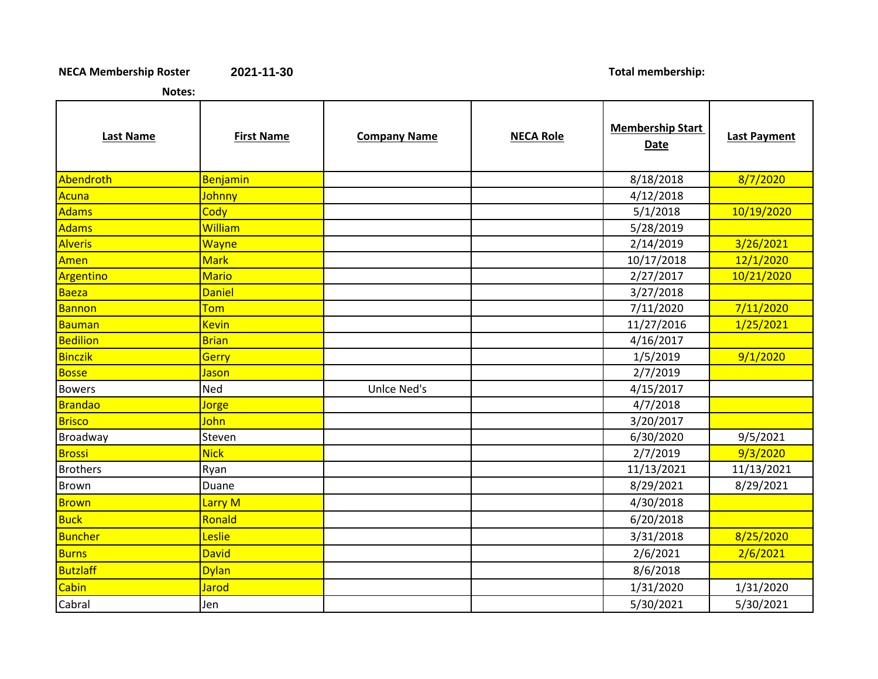## **NECA Membership Roster 2021-11-30 Total membership:**

**Notes:** 

| <b>Last Name</b> | <b>First Name</b> | <b>Company Name</b> | <b>NECA Role</b> | <b>Membership Start</b><br><b>Date</b> | <b>Last Payment</b> |
|------------------|-------------------|---------------------|------------------|----------------------------------------|---------------------|
| Abendroth        | Benjamin          |                     |                  | 8/18/2018                              | 8/7/2020            |
| Acuna            | Johnny            |                     |                  | 4/12/2018                              |                     |
| Adams            | Cody              |                     |                  | 5/1/2018                               | 10/19/2020          |
| Adams            | William           |                     |                  | 5/28/2019                              |                     |
| <b>Alveris</b>   | Wayne             |                     |                  | 2/14/2019                              | 3/26/2021           |
| Amen             | <b>Mark</b>       |                     |                  | 10/17/2018                             | 12/1/2020           |
| Argentino        | <b>Mario</b>      |                     |                  | 2/27/2017                              | 10/21/2020          |
| Baeza            | <b>Daniel</b>     |                     |                  | 3/27/2018                              |                     |
| Bannon           | <b>Tom</b>        |                     |                  | 7/11/2020                              | 7/11/2020           |
| Bauman           | <b>Kevin</b>      |                     |                  | 11/27/2016                             | 1/25/2021           |
| <b>Bedilion</b>  | <b>Brian</b>      |                     |                  | 4/16/2017                              |                     |
| <b>Binczik</b>   | Gerry             |                     |                  | 1/5/2019                               | 9/1/2020            |
| <b>Bosse</b>     | Jason             |                     |                  | 2/7/2019                               |                     |
| <b>Bowers</b>    | Ned               | Unice Ned's         |                  | 4/15/2017                              |                     |
| Brandao          | <b>Jorge</b>      |                     |                  | 4/7/2018                               |                     |
| <b>Brisco</b>    | John              |                     |                  | 3/20/2017                              |                     |
| Broadway         | Steven            |                     |                  | 6/30/2020                              | 9/5/2021            |
| <b>Brossi</b>    | <b>Nick</b>       |                     |                  | 2/7/2019                               | 9/3/2020            |
| <b>Brothers</b>  | Ryan              |                     |                  | 11/13/2021                             | 11/13/2021          |
| <b>Brown</b>     | Duane             |                     |                  | 8/29/2021                              | 8/29/2021           |
| Brown            | Larry M           |                     |                  | 4/30/2018                              |                     |
| <b>Buck</b>      | Ronald            |                     |                  | 6/20/2018                              |                     |
| Buncher          | Leslie            |                     |                  | 3/31/2018                              | 8/25/2020           |
| <b>Burns</b>     | <b>David</b>      |                     |                  | 2/6/2021                               | 2/6/2021            |
| <b>Butzlaff</b>  | <b>Dylan</b>      |                     |                  | 8/6/2018                               |                     |
| Cabin            | Jarod             |                     |                  | 1/31/2020                              | 1/31/2020           |
| Cabral           | Jen               |                     |                  | 5/30/2021                              | 5/30/2021           |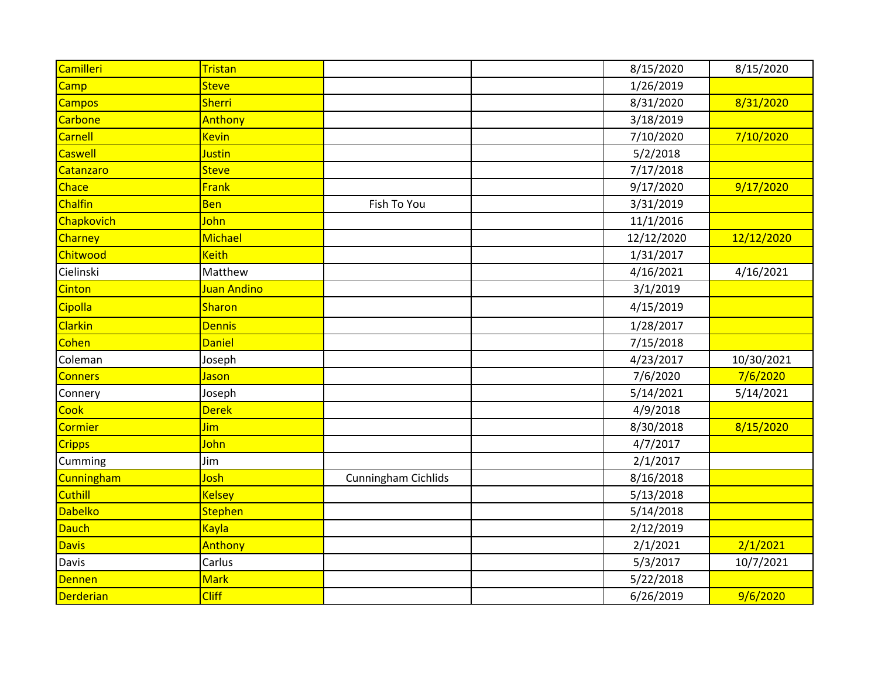| Camilleri        | Tristan        |                            | 8/15/2020  | 8/15/2020  |
|------------------|----------------|----------------------------|------------|------------|
| Camp             | <b>Steve</b>   |                            | 1/26/2019  |            |
| <b>Campos</b>    | Sherri         |                            | 8/31/2020  | 8/31/2020  |
| Carbone          | Anthony        |                            | 3/18/2019  |            |
| <b>Carnell</b>   | <b>Kevin</b>   |                            | 7/10/2020  | 7/10/2020  |
| Caswell          | Justin         |                            | 5/2/2018   |            |
| Catanzaro        | <b>Steve</b>   |                            | 7/17/2018  |            |
| Chace            | <b>Frank</b>   |                            | 9/17/2020  | 9/17/2020  |
| Chalfin          | <b>Ben</b>     | Fish To You                | 3/31/2019  |            |
| Chapkovich       | John           |                            | 11/1/2016  |            |
| Charney          | Michael        |                            | 12/12/2020 | 12/12/2020 |
| Chitwood         | <b>Keith</b>   |                            | 1/31/2017  |            |
| Cielinski        | Matthew        |                            | 4/16/2021  | 4/16/2021  |
| Cinton           | Juan Andino    |                            | 3/1/2019   |            |
| Cipolla          | <b>Sharon</b>  |                            | 4/15/2019  |            |
| <b>Clarkin</b>   | <b>Dennis</b>  |                            | 1/28/2017  |            |
| Cohen            | <b>Daniel</b>  |                            | 7/15/2018  |            |
| Coleman          | Joseph         |                            | 4/23/2017  | 10/30/2021 |
| <b>Conners</b>   | Jason          |                            | 7/6/2020   | 7/6/2020   |
| Connery          | Joseph         |                            | 5/14/2021  | 5/14/2021  |
| <b>Cook</b>      | <b>Derek</b>   |                            | 4/9/2018   |            |
| Cormier          | Jim            |                            | 8/30/2018  | 8/15/2020  |
| Cripps           | John           |                            | 4/7/2017   |            |
| Cumming          | Jim            |                            | 2/1/2017   |            |
| Cunningham       | Josh           | <b>Cunningham Cichlids</b> | 8/16/2018  |            |
| <b>Cuthill</b>   | <b>Kelsey</b>  |                            | 5/13/2018  |            |
| Dabelko          | <b>Stephen</b> |                            | 5/14/2018  |            |
| <b>Dauch</b>     | <b>Kayla</b>   |                            | 2/12/2019  |            |
| <b>Davis</b>     | Anthony        |                            | 2/1/2021   | 2/1/2021   |
| Davis            | Carlus         |                            | 5/3/2017   | 10/7/2021  |
| Dennen           | <b>Mark</b>    |                            | 5/22/2018  |            |
| <b>Derderian</b> | <b>Cliff</b>   |                            | 6/26/2019  | 9/6/2020   |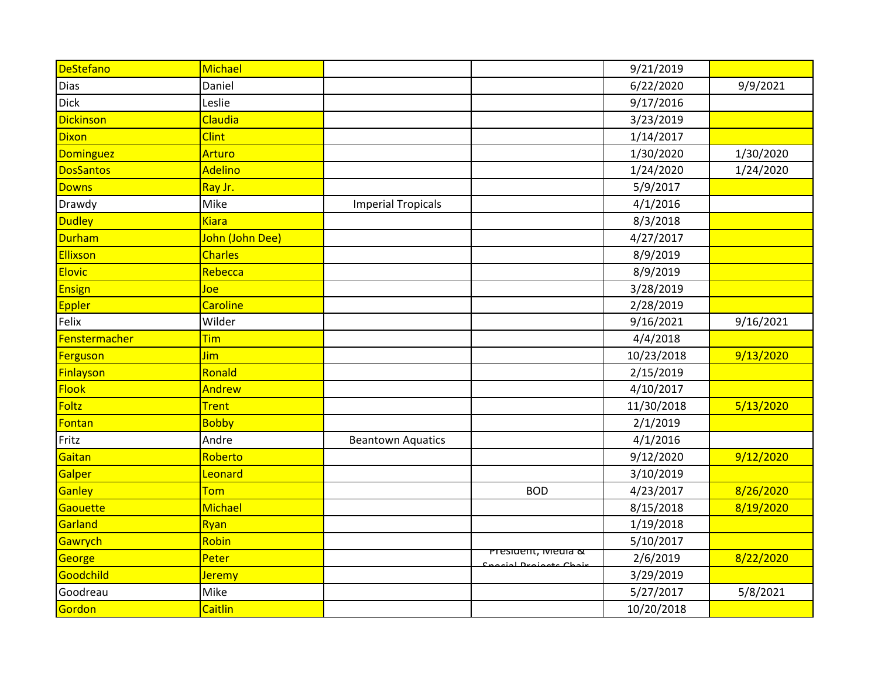| <b>DeStefano</b> | Michael         |                           |                                                          | 9/21/2019  |           |
|------------------|-----------------|---------------------------|----------------------------------------------------------|------------|-----------|
| <b>Dias</b>      | Daniel          |                           |                                                          | 6/22/2020  | 9/9/2021  |
| <b>Dick</b>      | Leslie          |                           |                                                          | 9/17/2016  |           |
| <b>Dickinson</b> | <b>Claudia</b>  |                           |                                                          | 3/23/2019  |           |
| <b>Dixon</b>     | <b>Clint</b>    |                           |                                                          | 1/14/2017  |           |
| Dominguez        | Arturo          |                           |                                                          | 1/30/2020  | 1/30/2020 |
| <b>DosSantos</b> | Adelino         |                           |                                                          | 1/24/2020  | 1/24/2020 |
| <b>Downs</b>     | Ray Jr.         |                           |                                                          | 5/9/2017   |           |
| Drawdy           | Mike            | <b>Imperial Tropicals</b> |                                                          | 4/1/2016   |           |
| <b>Dudley</b>    | <b>Kiara</b>    |                           |                                                          | 8/3/2018   |           |
| Durham           | John (John Dee) |                           |                                                          | 4/27/2017  |           |
| Ellixson         | <b>Charles</b>  |                           |                                                          | 8/9/2019   |           |
| <b>Elovic</b>    | Rebecca         |                           |                                                          | 8/9/2019   |           |
| Ensign           | Joe             |                           |                                                          | 3/28/2019  |           |
| <b>Eppler</b>    | <b>Caroline</b> |                           |                                                          | 2/28/2019  |           |
| Felix            | Wilder          |                           |                                                          | 9/16/2021  | 9/16/2021 |
| Fenstermacher    | <b>Tim</b>      |                           |                                                          | 4/4/2018   |           |
| Ferguson         | Jim             |                           |                                                          | 10/23/2018 | 9/13/2020 |
| Finlayson        | Ronald          |                           |                                                          | 2/15/2019  |           |
| <b>Flook</b>     | Andrew          |                           |                                                          | 4/10/2017  |           |
| Foltz            | <b>Trent</b>    |                           |                                                          | 11/30/2018 | 5/13/2020 |
| Fontan           | <b>Bobby</b>    |                           |                                                          | 2/1/2019   |           |
| Fritz            | Andre           | <b>Beantown Aquatics</b>  |                                                          | 4/1/2016   |           |
| Gaitan           | Roberto         |                           |                                                          | 9/12/2020  | 9/12/2020 |
| Galper           | Leonard         |                           |                                                          | 3/10/2019  |           |
| Ganley           | Tom             |                           | <b>BOD</b>                                               | 4/23/2017  | 8/26/2020 |
| Gaouette         | Michael         |                           |                                                          | 8/15/2018  | 8/19/2020 |
| Garland          | Ryan            |                           |                                                          | 1/19/2018  |           |
| Gawrych          | Robin           |                           |                                                          | 5/10/2017  |           |
| George           | Peter           |                           | <del>rTesiuent, ivieula &amp;</del><br>مغممنهما المنمممك | 2/6/2019   | 8/22/2020 |
| Goodchild        | Jeremy          |                           |                                                          | 3/29/2019  |           |
| Goodreau         | Mike            |                           |                                                          | 5/27/2017  | 5/8/2021  |
| Gordon           | Caitlin         |                           |                                                          | 10/20/2018 |           |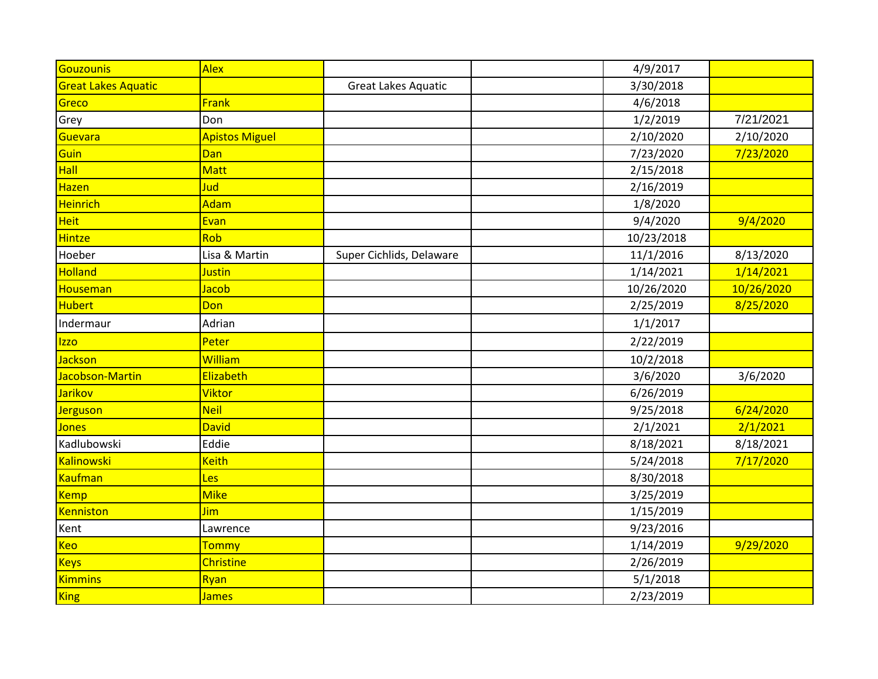| <b>Gouzounis</b>           | <b>Alex</b>           |                            | 4/9/2017   |            |
|----------------------------|-----------------------|----------------------------|------------|------------|
| <b>Great Lakes Aquatic</b> |                       | <b>Great Lakes Aquatic</b> | 3/30/2018  |            |
| Greco                      | Frank                 |                            | 4/6/2018   |            |
| Grey                       | Don                   |                            | 1/2/2019   | 7/21/2021  |
| Guevara                    | <b>Apistos Miguel</b> |                            | 2/10/2020  | 2/10/2020  |
| Guin                       | <b>Dan</b>            |                            | 7/23/2020  | 7/23/2020  |
| Hall                       | <b>Matt</b>           |                            | 2/15/2018  |            |
| Hazen                      | Jud                   |                            | 2/16/2019  |            |
| <b>Heinrich</b>            | Adam                  |                            | 1/8/2020   |            |
| <b>Heit</b>                | Evan                  |                            | 9/4/2020   | 9/4/2020   |
| <b>Hintze</b>              | Rob                   |                            | 10/23/2018 |            |
| Hoeber                     | Lisa & Martin         | Super Cichlids, Delaware   | 11/1/2016  | 8/13/2020  |
| <b>Holland</b>             | <b>Justin</b>         |                            | 1/14/2021  | 1/14/2021  |
| Houseman                   | Jacob                 |                            | 10/26/2020 | 10/26/2020 |
| <b>Hubert</b>              | <b>Don</b>            |                            | 2/25/2019  | 8/25/2020  |
| Indermaur                  | Adrian                |                            | 1/1/2017   |            |
| <b>Izzo</b>                | Peter                 |                            | 2/22/2019  |            |
| <b>Jackson</b>             | <b>William</b>        |                            | 10/2/2018  |            |
| Jacobson-Martin            | Elizabeth             |                            | 3/6/2020   | 3/6/2020   |
| <b>Jarikov</b>             | Viktor                |                            | 6/26/2019  |            |
| Jerguson                   | <b>Neil</b>           |                            | 9/25/2018  | 6/24/2020  |
| Jones                      | <b>David</b>          |                            | 2/1/2021   | 2/1/2021   |
| Kadlubowski                | Eddie                 |                            | 8/18/2021  | 8/18/2021  |
| <b>Kalinowski</b>          | <b>Keith</b>          |                            | 5/24/2018  | 7/17/2020  |
| Kaufman                    | Les                   |                            | 8/30/2018  |            |
| Kemp                       | <b>Mike</b>           |                            | 3/25/2019  |            |
| <b>Kenniston</b>           | Jim                   |                            | 1/15/2019  |            |
| Kent                       | Lawrence              |                            | 9/23/2016  |            |
| Keo                        | Tommy                 |                            | 1/14/2019  | 9/29/2020  |
| <b>Keys</b>                | Christine             |                            | 2/26/2019  |            |
|                            |                       |                            |            |            |
| <b>Kimmins</b>             | Ryan                  |                            | 5/1/2018   |            |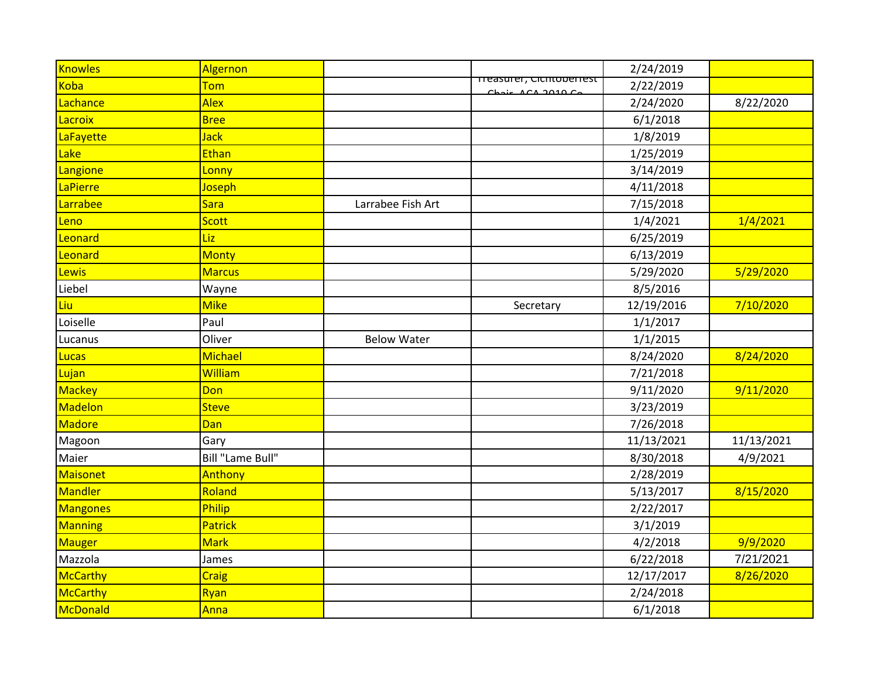| <b>Knowles</b>  | Algernon                |                    | <del>i reasurer, Cicritoberiest</del> | 2/24/2019  |            |
|-----------------|-------------------------|--------------------|---------------------------------------|------------|------------|
| <b>Koba</b>     | <b>Tom</b>              |                    | Chair ACA 2010C                       | 2/22/2019  |            |
| Lachance        | Alex                    |                    |                                       | 2/24/2020  | 8/22/2020  |
| Lacroix         | <b>Bree</b>             |                    |                                       | 6/1/2018   |            |
| LaFayette       | Jack                    |                    |                                       | 1/8/2019   |            |
| Lake            | <b>Ethan</b>            |                    |                                       | 1/25/2019  |            |
| Langione        | Lonny                   |                    |                                       | 3/14/2019  |            |
| LaPierre        | Joseph                  |                    |                                       | 4/11/2018  |            |
| Larrabee        | <b>Sara</b>             | Larrabee Fish Art  |                                       | 7/15/2018  |            |
| Leno            | <b>Scott</b>            |                    |                                       | 1/4/2021   | 1/4/2021   |
| Leonard         | Liz                     |                    |                                       | 6/25/2019  |            |
| Leonard         | <b>Monty</b>            |                    |                                       | 6/13/2019  |            |
| <b>Lewis</b>    | <b>Marcus</b>           |                    |                                       | 5/29/2020  | 5/29/2020  |
| Liebel          | Wayne                   |                    |                                       | 8/5/2016   |            |
| Liu             | <b>Mike</b>             |                    | Secretary                             | 12/19/2016 | 7/10/2020  |
| Loiselle        | Paul                    |                    |                                       | 1/1/2017   |            |
| Lucanus         | Oliver                  | <b>Below Water</b> |                                       | 1/1/2015   |            |
| <b>Lucas</b>    | Michael                 |                    |                                       | 8/24/2020  | 8/24/2020  |
| Lujan           | <b>William</b>          |                    |                                       | 7/21/2018  |            |
| Mackey          | <b>Don</b>              |                    |                                       | 9/11/2020  | 9/11/2020  |
| Madelon         | <b>Steve</b>            |                    |                                       | 3/23/2019  |            |
| Madore          | Dan                     |                    |                                       | 7/26/2018  |            |
| Magoon          | Gary                    |                    |                                       | 11/13/2021 | 11/13/2021 |
| Maier           | <b>Bill "Lame Bull"</b> |                    |                                       | 8/30/2018  | 4/9/2021   |
| Maisonet        | Anthony                 |                    |                                       | 2/28/2019  |            |
| Mandler         | Roland                  |                    |                                       | 5/13/2017  | 8/15/2020  |
| <b>Mangones</b> | Philip                  |                    |                                       | 2/22/2017  |            |
| <b>Manning</b>  | <b>Patrick</b>          |                    |                                       | 3/1/2019   |            |
| Mauger          | <b>Mark</b>             |                    |                                       | 4/2/2018   | 9/9/2020   |
| Mazzola         | James                   |                    |                                       | 6/22/2018  | 7/21/2021  |
| McCarthy        | <b>Craig</b>            |                    |                                       | 12/17/2017 | 8/26/2020  |
| McCarthy        | Ryan                    |                    |                                       | 2/24/2018  |            |
| McDonald        | Anna                    |                    |                                       | 6/1/2018   |            |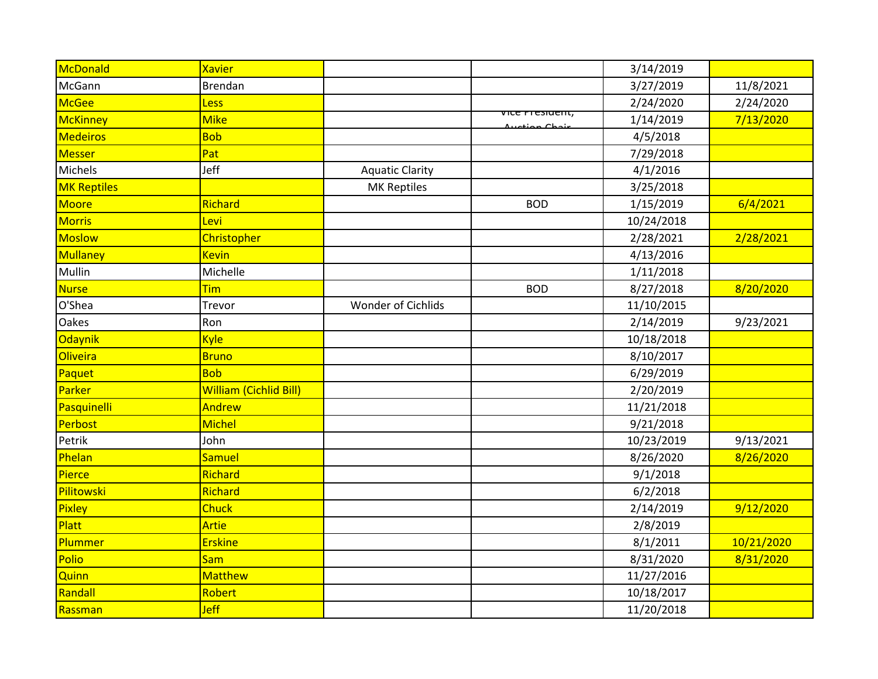| McDonald           | <b>Xavier</b>                 |                        |                            | 3/14/2019  |            |
|--------------------|-------------------------------|------------------------|----------------------------|------------|------------|
| McGann             | <b>Brendan</b>                |                        |                            | 3/27/2019  | 11/8/2021  |
| McGee              | <b>Less</b>                   |                        |                            | 2/24/2020  | 2/24/2020  |
| McKinney           | Mike                          |                        | <del>vice Fresident,</del> | 1/14/2019  | 7/13/2020  |
| <b>Medeiros</b>    | <b>Bob</b>                    |                        |                            | 4/5/2018   |            |
| <b>Messer</b>      | Pat                           |                        |                            | 7/29/2018  |            |
| Michels            | Jeff                          | <b>Aquatic Clarity</b> |                            | 4/1/2016   |            |
| <b>MK Reptiles</b> |                               | <b>MK Reptiles</b>     |                            | 3/25/2018  |            |
| Moore              | Richard                       |                        | <b>BOD</b>                 | 1/15/2019  | 6/4/2021   |
| <b>Morris</b>      | Levi                          |                        |                            | 10/24/2018 |            |
| Moslow             | Christopher                   |                        |                            | 2/28/2021  | 2/28/2021  |
| Mullaney           | Kevin                         |                        |                            | 4/13/2016  |            |
| Mullin             | Michelle                      |                        |                            | 1/11/2018  |            |
| <b>Nurse</b>       | <b>Tim</b>                    |                        | <b>BOD</b>                 | 8/27/2018  | 8/20/2020  |
| O'Shea             | Trevor                        | Wonder of Cichlids     |                            | 11/10/2015 |            |
| <b>Oakes</b>       | Ron                           |                        |                            | 2/14/2019  | 9/23/2021  |
| <b>Odaynik</b>     | <b>Kyle</b>                   |                        |                            | 10/18/2018 |            |
| Oliveira           | Bruno                         |                        |                            | 8/10/2017  |            |
| Paquet             | <b>Bob</b>                    |                        |                            | 6/29/2019  |            |
| Parker             | <b>William (Cichlid Bill)</b> |                        |                            | 2/20/2019  |            |
| Pasquinelli        | Andrew                        |                        |                            | 11/21/2018 |            |
| Perbost            | Michel                        |                        |                            | 9/21/2018  |            |
| Petrik             | John                          |                        |                            | 10/23/2019 | 9/13/2021  |
| Phelan             | <b>Samuel</b>                 |                        |                            | 8/26/2020  | 8/26/2020  |
| Pierce             | Richard                       |                        |                            | 9/1/2018   |            |
| Pilitowski         | Richard                       |                        |                            | 6/2/2018   |            |
| Pixley             | Chuck                         |                        |                            | 2/14/2019  | 9/12/2020  |
| Platt              | Artie                         |                        |                            | 2/8/2019   |            |
| Plummer            | <b>Erskine</b>                |                        |                            | 8/1/2011   | 10/21/2020 |
| Polio              | Sam                           |                        |                            | 8/31/2020  | 8/31/2020  |
| Quinn              | <b>Matthew</b>                |                        |                            | 11/27/2016 |            |
| Randall            | Robert                        |                        |                            | 10/18/2017 |            |
| Rassman            | Jeff                          |                        |                            | 11/20/2018 |            |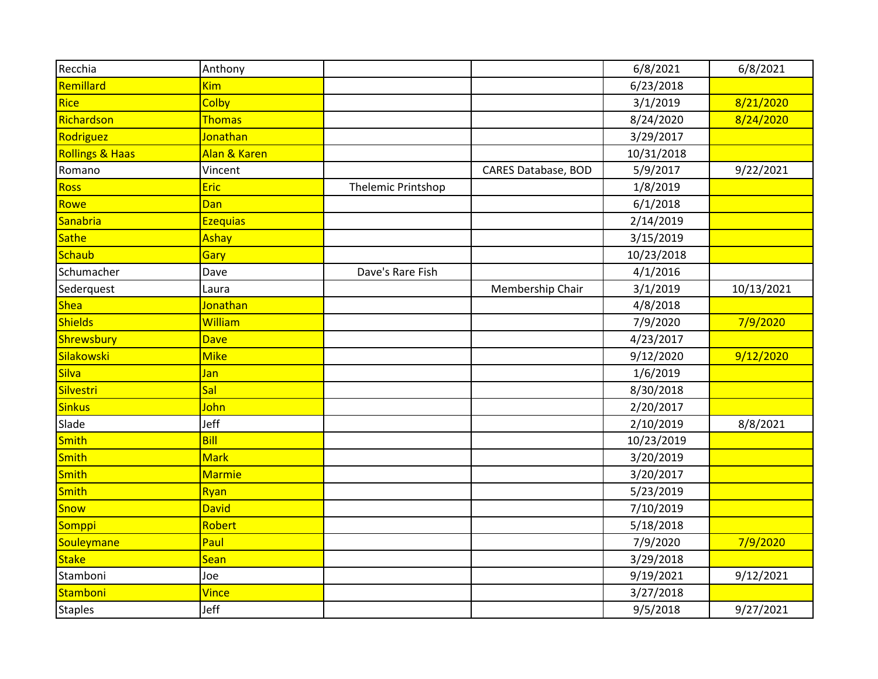| Recchia                    | Anthony         |                    |                            | 6/8/2021   | 6/8/2021   |
|----------------------------|-----------------|--------------------|----------------------------|------------|------------|
| Remillard                  | <b>Kim</b>      |                    |                            | 6/23/2018  |            |
| Rice                       | Colby           |                    |                            | 3/1/2019   | 8/21/2020  |
| Richardson                 | <b>Thomas</b>   |                    |                            | 8/24/2020  | 8/24/2020  |
| Rodriguez                  | <b>Jonathan</b> |                    |                            | 3/29/2017  |            |
| <b>Rollings &amp; Haas</b> | Alan & Karen    |                    |                            | 10/31/2018 |            |
| Romano                     | Vincent         |                    | <b>CARES Database, BOD</b> | 5/9/2017   | 9/22/2021  |
| <b>Ross</b>                | <b>Eric</b>     | Thelemic Printshop |                            | 1/8/2019   |            |
| Rowe                       | Dan             |                    |                            | 6/1/2018   |            |
| Sanabria                   | <b>Ezequias</b> |                    |                            | 2/14/2019  |            |
| Sathe                      | Ashay           |                    |                            | 3/15/2019  |            |
| Schaub                     | <b>Gary</b>     |                    |                            | 10/23/2018 |            |
| Schumacher                 | Dave            | Dave's Rare Fish   |                            | 4/1/2016   |            |
| Sederquest                 | Laura           |                    | Membership Chair           | 3/1/2019   | 10/13/2021 |
| <b>Shea</b>                | Jonathan        |                    |                            | 4/8/2018   |            |
| <b>Shields</b>             | <b>William</b>  |                    |                            | 7/9/2020   | 7/9/2020   |
| Shrewsbury                 | <b>Dave</b>     |                    |                            | 4/23/2017  |            |
| Silakowski                 | <b>Mike</b>     |                    |                            | 9/12/2020  | 9/12/2020  |
| Silva                      | Jan             |                    |                            | 1/6/2019   |            |
| Silvestri                  | Sal             |                    |                            | 8/30/2018  |            |
| <b>Sinkus</b>              | John            |                    |                            | 2/20/2017  |            |
| Slade                      | Jeff            |                    |                            | 2/10/2019  | 8/8/2021   |
| Smith                      | <b>Bill</b>     |                    |                            | 10/23/2019 |            |
| Smith                      | <b>Mark</b>     |                    |                            | 3/20/2019  |            |
| Smith                      | <b>Marmie</b>   |                    |                            | 3/20/2017  |            |
| Smith                      | Ryan            |                    |                            | 5/23/2019  |            |
| Snow                       | <b>David</b>    |                    |                            | 7/10/2019  |            |
| Somppi                     | Robert          |                    |                            | 5/18/2018  |            |
| Souleymane                 | Paul            |                    |                            | 7/9/2020   | 7/9/2020   |
| <b>Stake</b>               | <b>Sean</b>     |                    |                            | 3/29/2018  |            |
| Stamboni                   | Joe             |                    |                            | 9/19/2021  | 9/12/2021  |
| Stamboni                   | Vince           |                    |                            | 3/27/2018  |            |
| <b>Staples</b>             | Jeff            |                    |                            | 9/5/2018   | 9/27/2021  |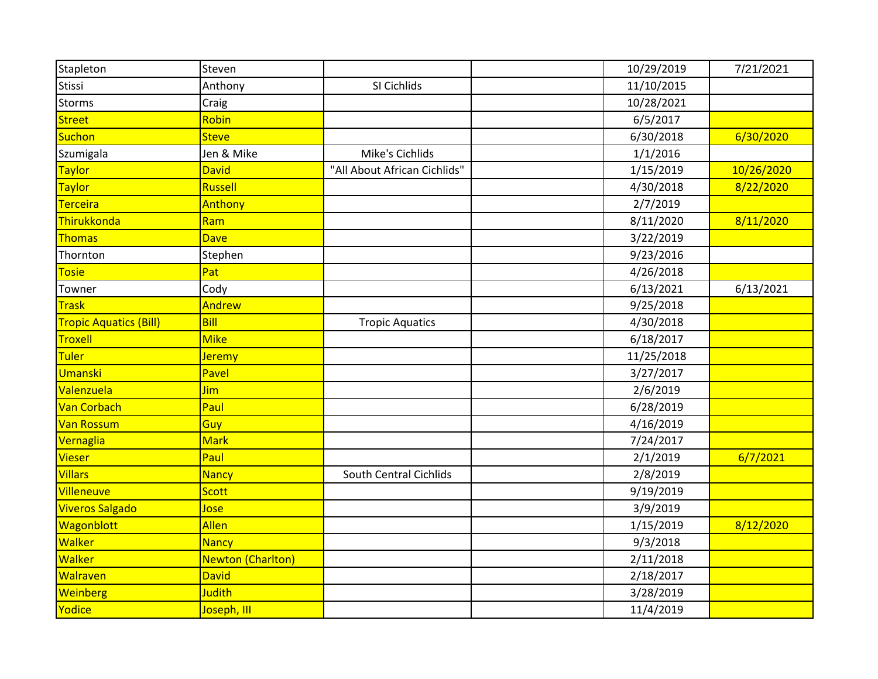| Stapleton                     | Steven                   |                              | 10/29/2019 | 7/21/2021  |
|-------------------------------|--------------------------|------------------------------|------------|------------|
| Stissi                        | Anthony                  | SI Cichlids                  | 11/10/2015 |            |
| <b>Storms</b>                 | Craig                    |                              | 10/28/2021 |            |
| <b>Street</b>                 | Robin                    |                              | 6/5/2017   |            |
| <b>Suchon</b>                 | <b>Steve</b>             |                              | 6/30/2018  | 6/30/2020  |
| Szumigala                     | Jen & Mike               | Mike's Cichlids              | 1/1/2016   |            |
| <b>Taylor</b>                 | <b>David</b>             | "All About African Cichlids" | 1/15/2019  | 10/26/2020 |
| <b>Taylor</b>                 | Russell                  |                              | 4/30/2018  | 8/22/2020  |
| Terceira                      | Anthony                  |                              | 2/7/2019   |            |
| Thirukkonda                   | Ram                      |                              | 8/11/2020  | 8/11/2020  |
| <b>Thomas</b>                 | <b>Dave</b>              |                              | 3/22/2019  |            |
| Thornton                      | Stephen                  |                              | 9/23/2016  |            |
| <b>Tosie</b>                  | Pat                      |                              | 4/26/2018  |            |
| Towner                        | Cody                     |                              | 6/13/2021  | 6/13/2021  |
| <b>Trask</b>                  | Andrew                   |                              | 9/25/2018  |            |
| <b>Tropic Aquatics (Bill)</b> | <b>Bill</b>              | <b>Tropic Aquatics</b>       | 4/30/2018  |            |
| Troxell                       | <b>Mike</b>              |                              | 6/18/2017  |            |
| <b>Tuler</b>                  | Jeremy                   |                              | 11/25/2018 |            |
| Umanski                       | Pavel                    |                              | 3/27/2017  |            |
| Valenzuela                    | Jim                      |                              | 2/6/2019   |            |
| Van Corbach                   | Paul                     |                              | 6/28/2019  |            |
| Van Rossum                    | Guy                      |                              | 4/16/2019  |            |
| Vernaglia                     | <b>Mark</b>              |                              | 7/24/2017  |            |
| <b>Vieser</b>                 | Paul                     |                              | 2/1/2019   | 6/7/2021   |
| <b>Villars</b>                | <b>Nancy</b>             | South Central Cichlids       | 2/8/2019   |            |
| Villeneuve                    | <b>Scott</b>             |                              | 9/19/2019  |            |
| Viveros Salgado               | Jose                     |                              | 3/9/2019   |            |
| Wagonblott                    | <b>Allen</b>             |                              | 1/15/2019  | 8/12/2020  |
| <b>Walker</b>                 | <b>Nancy</b>             |                              | 9/3/2018   |            |
| <b>Walker</b>                 | <b>Newton (Charlton)</b> |                              | 2/11/2018  |            |
| Walraven                      | <b>David</b>             |                              | 2/18/2017  |            |
| Weinberg                      | <b>Judith</b>            |                              | 3/28/2019  |            |
| Yodice                        | Joseph, III              |                              | 11/4/2019  |            |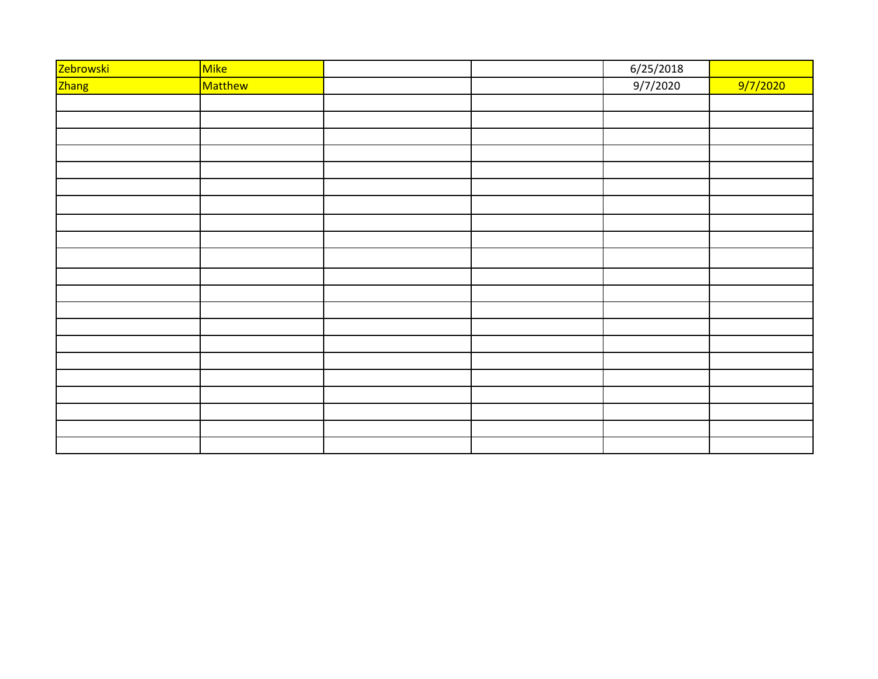| Zebrowski | Mike    |  | 6/25/2018 |          |
|-----------|---------|--|-----------|----------|
| Zhang     | Matthew |  | 9/7/2020  | 9/7/2020 |
|           |         |  |           |          |
|           |         |  |           |          |
|           |         |  |           |          |
|           |         |  |           |          |
|           |         |  |           |          |
|           |         |  |           |          |
|           |         |  |           |          |
|           |         |  |           |          |
|           |         |  |           |          |
|           |         |  |           |          |
|           |         |  |           |          |
|           |         |  |           |          |
|           |         |  |           |          |
|           |         |  |           |          |
|           |         |  |           |          |
|           |         |  |           |          |
|           |         |  |           |          |
|           |         |  |           |          |
|           |         |  |           |          |
|           |         |  |           |          |
|           |         |  |           |          |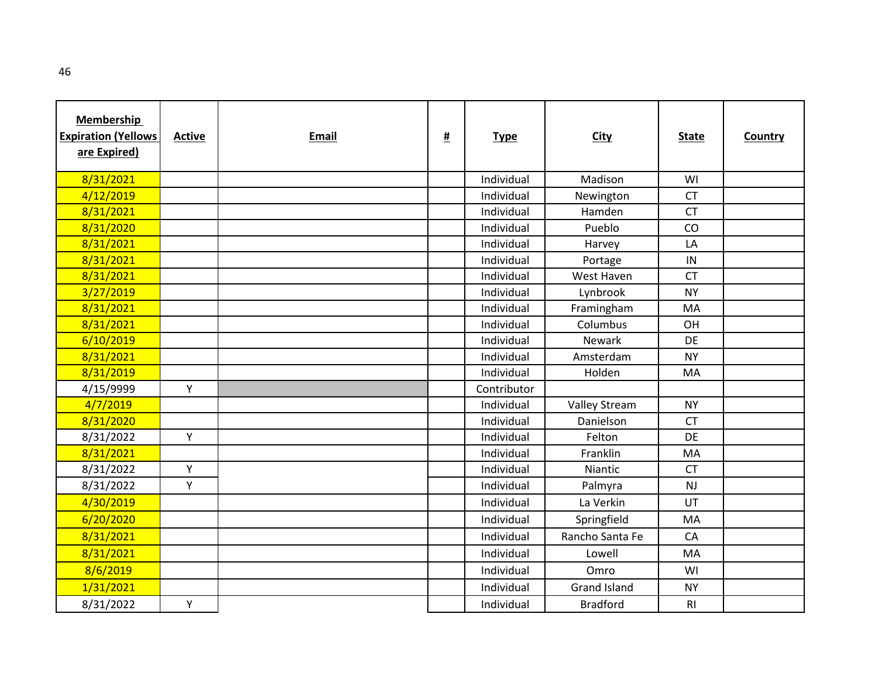| Membership<br><b>Expiration (Yellows</b><br>are Expired) | <b>Active</b> | <b>Email</b> | <u>#</u> | <b>Type</b> | <b>City</b>          | <b>State</b>   | Country |
|----------------------------------------------------------|---------------|--------------|----------|-------------|----------------------|----------------|---------|
| 8/31/2021                                                |               |              |          | Individual  | Madison              | WI             |         |
| 4/12/2019                                                |               |              |          | Individual  | Newington            | <b>CT</b>      |         |
| 8/31/2021                                                |               |              |          | Individual  | Hamden               | <b>CT</b>      |         |
| 8/31/2020                                                |               |              |          | Individual  | Pueblo               | CO             |         |
| 8/31/2021                                                |               |              |          | Individual  | Harvey               | LA             |         |
| 8/31/2021                                                |               |              |          | Individual  | Portage              | IN             |         |
| 8/31/2021                                                |               |              |          | Individual  | West Haven           | <b>CT</b>      |         |
| 3/27/2019                                                |               |              |          | Individual  | Lynbrook             | <b>NY</b>      |         |
| 8/31/2021                                                |               |              |          | Individual  | Framingham           | MA             |         |
| 8/31/2021                                                |               |              |          | Individual  | Columbus             | OH             |         |
| 6/10/2019                                                |               |              |          | Individual  | Newark               | DE             |         |
| 8/31/2021                                                |               |              |          | Individual  | Amsterdam            | <b>NY</b>      |         |
| 8/31/2019                                                |               |              |          | Individual  | Holden               | MA             |         |
| 4/15/9999                                                | Υ             |              |          | Contributor |                      |                |         |
| 4/7/2019                                                 |               |              |          | Individual  | <b>Valley Stream</b> | <b>NY</b>      |         |
| 8/31/2020                                                |               |              |          | Individual  | Danielson            | <b>CT</b>      |         |
| 8/31/2022                                                | Υ             |              |          | Individual  | Felton               | DE             |         |
| 8/31/2021                                                |               |              |          | Individual  | Franklin             | MA             |         |
| 8/31/2022                                                | Υ             |              |          | Individual  | Niantic              | <b>CT</b>      |         |
| 8/31/2022                                                | Υ             |              |          | Individual  | Palmyra              | <b>NJ</b>      |         |
| 4/30/2019                                                |               |              |          | Individual  | La Verkin            | UT             |         |
| 6/20/2020                                                |               |              |          | Individual  | Springfield          | MA             |         |
| 8/31/2021                                                |               |              |          | Individual  | Rancho Santa Fe      | CA             |         |
| 8/31/2021                                                |               |              |          | Individual  | Lowell               | MA             |         |
| 8/6/2019                                                 |               |              |          | Individual  | Omro                 | WI             |         |
| 1/31/2021                                                |               |              |          | Individual  | <b>Grand Island</b>  | <b>NY</b>      |         |
| 8/31/2022                                                | Υ             |              |          | Individual  | <b>Bradford</b>      | R <sub>l</sub> |         |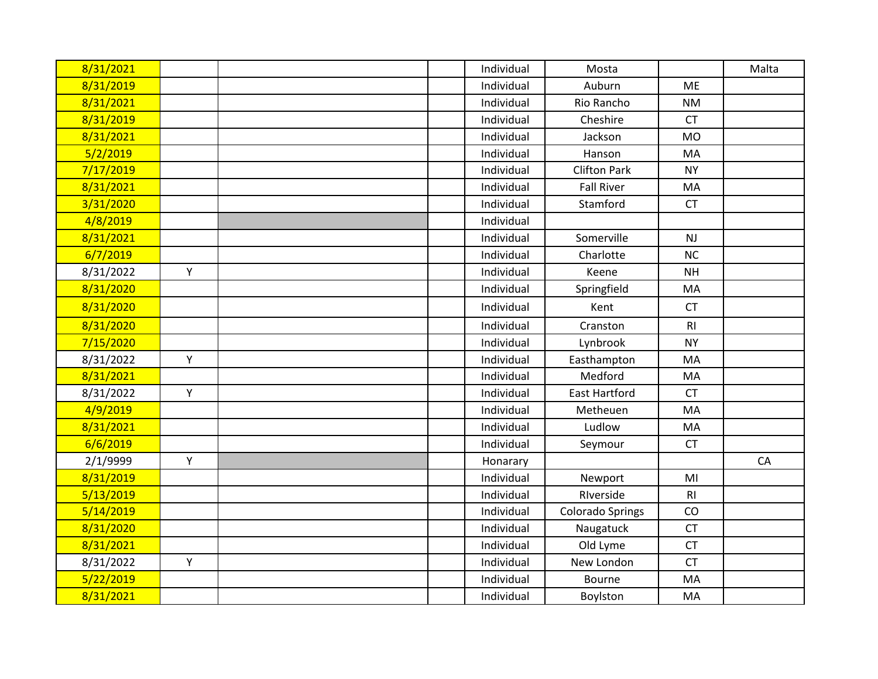| 8/31/2021 |   |  | Individual | Mosta                   |                | Malta      |
|-----------|---|--|------------|-------------------------|----------------|------------|
| 8/31/2019 |   |  | Individual | Auburn                  | <b>ME</b>      |            |
| 8/31/2021 |   |  | Individual | Rio Rancho              | <b>NM</b>      |            |
| 8/31/2019 |   |  | Individual | Cheshire                | <b>CT</b>      |            |
| 8/31/2021 |   |  | Individual | Jackson                 | <b>MO</b>      |            |
| 5/2/2019  |   |  | Individual | Hanson                  | MA             |            |
| 7/17/2019 |   |  | Individual | <b>Clifton Park</b>     | <b>NY</b>      |            |
| 8/31/2021 |   |  | Individual | <b>Fall River</b>       | MA             |            |
| 3/31/2020 |   |  | Individual | Stamford                | <b>CT</b>      |            |
| 4/8/2019  |   |  | Individual |                         |                |            |
| 8/31/2021 |   |  | Individual | Somerville              | NJ             |            |
| 6/7/2019  |   |  | Individual | Charlotte               | <b>NC</b>      |            |
| 8/31/2022 | Y |  | Individual | Keene                   | <b>NH</b>      |            |
| 8/31/2020 |   |  | Individual | Springfield             | MA             |            |
| 8/31/2020 |   |  | Individual | Kent                    | <b>CT</b>      |            |
| 8/31/2020 |   |  | Individual | Cranston                | R <sub>l</sub> |            |
| 7/15/2020 |   |  | Individual | Lynbrook                | <b>NY</b>      |            |
| 8/31/2022 | Y |  | Individual | Easthampton             | MA             |            |
| 8/31/2021 |   |  | Individual | Medford                 | MA             |            |
| 8/31/2022 | Y |  | Individual | <b>East Hartford</b>    | <b>CT</b>      |            |
| 4/9/2019  |   |  | Individual | Metheuen                | MA             |            |
| 8/31/2021 |   |  | Individual | Ludlow                  | MA             |            |
| 6/6/2019  |   |  | Individual | Seymour                 | <b>CT</b>      |            |
| 2/1/9999  | Y |  | Honarary   |                         |                | ${\sf CA}$ |
| 8/31/2019 |   |  | Individual | Newport                 | MI             |            |
| 5/13/2019 |   |  | Individual | RIverside               | R1             |            |
| 5/14/2019 |   |  | Individual | <b>Colorado Springs</b> | CO             |            |
| 8/31/2020 |   |  | Individual | Naugatuck               | <b>CT</b>      |            |
| 8/31/2021 |   |  | Individual | Old Lyme                | <b>CT</b>      |            |
| 8/31/2022 | Y |  | Individual | New London              | <b>CT</b>      |            |
| 5/22/2019 |   |  | Individual | <b>Bourne</b>           | MA             |            |
| 8/31/2021 |   |  | Individual | Boylston                | MA             |            |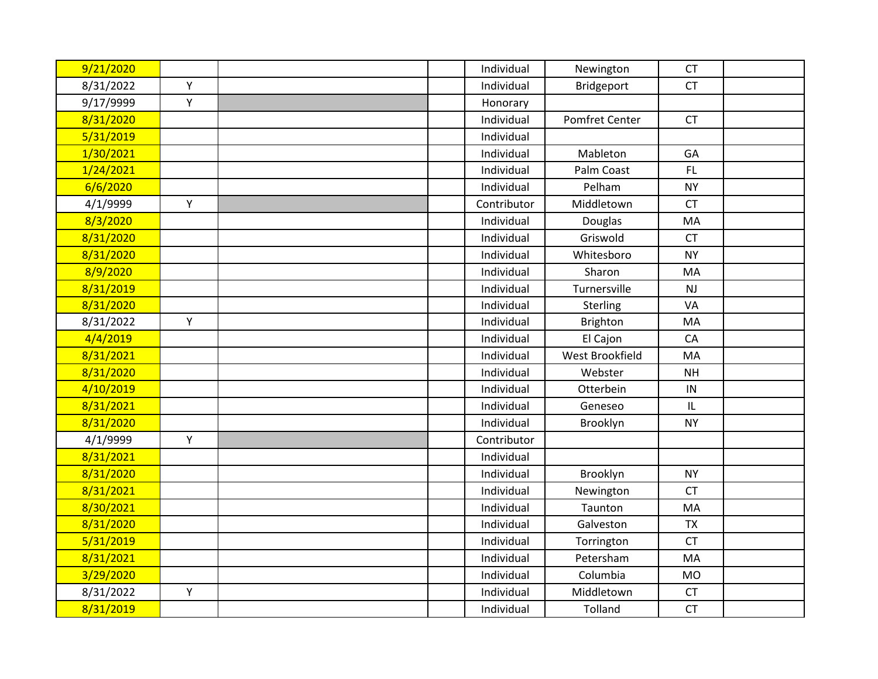| 9/21/2020 |   | Individual  | Newington       | <b>CT</b>  |  |
|-----------|---|-------------|-----------------|------------|--|
| 8/31/2022 | Y | Individual  | Bridgeport      | <b>CT</b>  |  |
| 9/17/9999 | Υ | Honorary    |                 |            |  |
| 8/31/2020 |   | Individual  | Pomfret Center  | <b>CT</b>  |  |
| 5/31/2019 |   | Individual  |                 |            |  |
| 1/30/2021 |   | Individual  | Mableton        | GA         |  |
| 1/24/2021 |   | Individual  | Palm Coast      | FL.        |  |
| 6/6/2020  |   | Individual  | Pelham          | <b>NY</b>  |  |
| 4/1/9999  | Y | Contributor | Middletown      | <b>CT</b>  |  |
| 8/3/2020  |   | Individual  | Douglas         | MA         |  |
| 8/31/2020 |   | Individual  | Griswold        | <b>CT</b>  |  |
| 8/31/2020 |   | Individual  | Whitesboro      | <b>NY</b>  |  |
| 8/9/2020  |   | Individual  | Sharon          | MA         |  |
| 8/31/2019 |   | Individual  | Turnersville    | NJ         |  |
| 8/31/2020 |   | Individual  | Sterling        | VA         |  |
| 8/31/2022 | Y | Individual  | Brighton        | MA         |  |
| 4/4/2019  |   | Individual  | El Cajon        | CA         |  |
| 8/31/2021 |   | Individual  | West Brookfield | MA         |  |
| 8/31/2020 |   | Individual  | Webster         | <b>NH</b>  |  |
| 4/10/2019 |   | Individual  | Otterbein       | ${\sf IN}$ |  |
| 8/31/2021 |   | Individual  | Geneseo         | IL         |  |
| 8/31/2020 |   | Individual  | Brooklyn        | <b>NY</b>  |  |
| 4/1/9999  | Y | Contributor |                 |            |  |
| 8/31/2021 |   | Individual  |                 |            |  |
| 8/31/2020 |   | Individual  | Brooklyn        | <b>NY</b>  |  |
| 8/31/2021 |   | Individual  | Newington       | <b>CT</b>  |  |
| 8/30/2021 |   | Individual  | Taunton         | MA         |  |
| 8/31/2020 |   | Individual  | Galveston       | <b>TX</b>  |  |
| 5/31/2019 |   | Individual  | Torrington      | CT         |  |
| 8/31/2021 |   | Individual  | Petersham       | MA         |  |
| 3/29/2020 |   | Individual  | Columbia        | <b>MO</b>  |  |
| 8/31/2022 | Y | Individual  | Middletown      | <b>CT</b>  |  |
| 8/31/2019 |   | Individual  | Tolland         | <b>CT</b>  |  |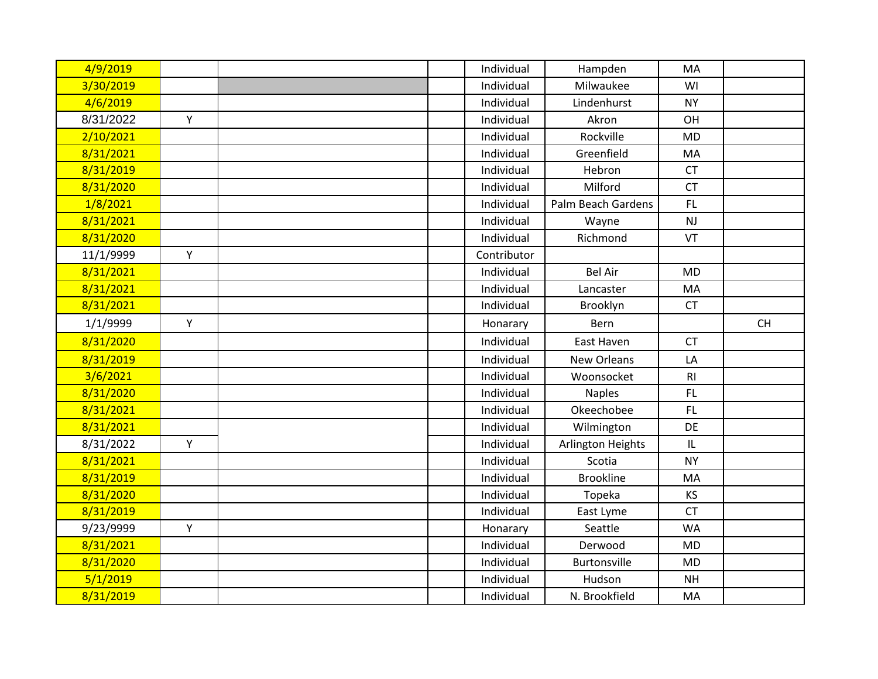| 4/9/2019  |   | Individual  | Hampden            | MA             |           |
|-----------|---|-------------|--------------------|----------------|-----------|
| 3/30/2019 |   | Individual  | Milwaukee          | WI             |           |
| 4/6/2019  |   | Individual  | Lindenhurst        | <b>NY</b>      |           |
| 8/31/2022 | Υ | Individual  | Akron              | OH             |           |
| 2/10/2021 |   | Individual  | Rockville          | <b>MD</b>      |           |
| 8/31/2021 |   | Individual  | Greenfield         | MA             |           |
| 8/31/2019 |   | Individual  | Hebron             | <b>CT</b>      |           |
| 8/31/2020 |   | Individual  | Milford            | <b>CT</b>      |           |
| 1/8/2021  |   | Individual  | Palm Beach Gardens | FL             |           |
| 8/31/2021 |   | Individual  | Wayne              | $\mathsf{NJ}$  |           |
| 8/31/2020 |   | Individual  | Richmond           | VT             |           |
| 11/1/9999 | Y | Contributor |                    |                |           |
| 8/31/2021 |   | Individual  | <b>Bel Air</b>     | <b>MD</b>      |           |
| 8/31/2021 |   | Individual  | Lancaster          | MA             |           |
| 8/31/2021 |   | Individual  | Brooklyn           | <b>CT</b>      |           |
| 1/1/9999  | Y | Honarary    | Bern               |                | <b>CH</b> |
| 8/31/2020 |   | Individual  | East Haven         | <b>CT</b>      |           |
| 8/31/2019 |   | Individual  | <b>New Orleans</b> | LA             |           |
| 3/6/2021  |   | Individual  | Woonsocket         | R <sub>l</sub> |           |
| 8/31/2020 |   | Individual  | <b>Naples</b>      | FL             |           |
| 8/31/2021 |   | Individual  | Okeechobee         | FL             |           |
| 8/31/2021 |   | Individual  | Wilmington         | DE             |           |
| 8/31/2022 | Y | Individual  | Arlington Heights  | IL             |           |
| 8/31/2021 |   | Individual  | Scotia             | <b>NY</b>      |           |
| 8/31/2019 |   | Individual  | <b>Brookline</b>   | MA             |           |
| 8/31/2020 |   | Individual  | Topeka             | KS             |           |
| 8/31/2019 |   | Individual  | East Lyme          | CT             |           |
| 9/23/9999 | Y | Honarary    | Seattle            | <b>WA</b>      |           |
| 8/31/2021 |   | Individual  | Derwood            | <b>MD</b>      |           |
| 8/31/2020 |   | Individual  | Burtonsville       | <b>MD</b>      |           |
| 5/1/2019  |   | Individual  | Hudson             | <b>NH</b>      |           |
| 8/31/2019 |   | Individual  | N. Brookfield      | MA             |           |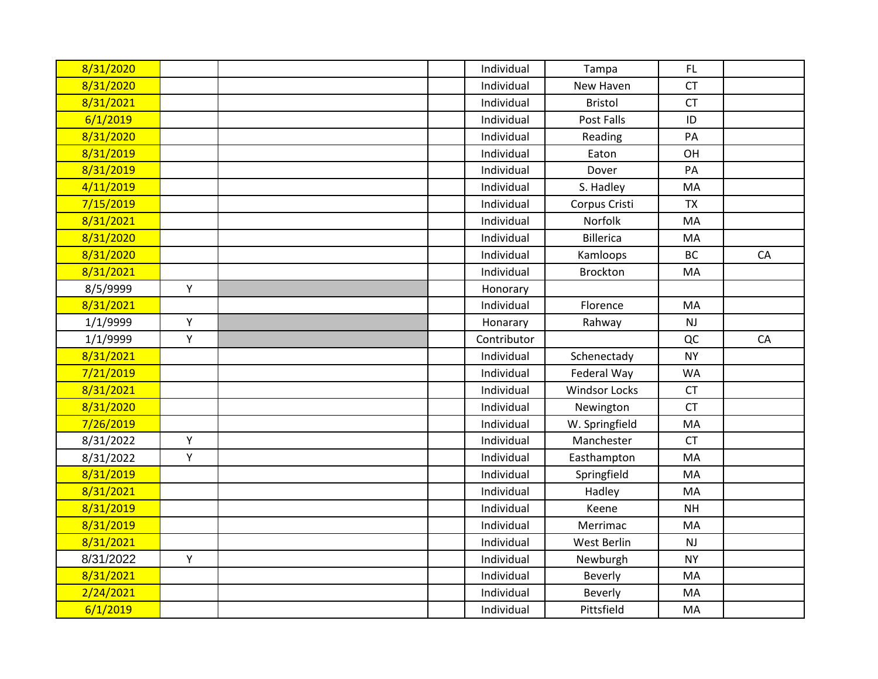| 8/31/2020 |   | Individual  | Tampa                | FL.       |    |
|-----------|---|-------------|----------------------|-----------|----|
| 8/31/2020 |   | Individual  | New Haven            | CT        |    |
| 8/31/2021 |   | Individual  | <b>Bristol</b>       | <b>CT</b> |    |
| 6/1/2019  |   | Individual  | <b>Post Falls</b>    | ID        |    |
| 8/31/2020 |   | Individual  | Reading              | PA        |    |
| 8/31/2019 |   | Individual  | Eaton                | OH        |    |
| 8/31/2019 |   | Individual  | Dover                | PA        |    |
| 4/11/2019 |   | Individual  | S. Hadley            | MA        |    |
| 7/15/2019 |   | Individual  | Corpus Cristi        | <b>TX</b> |    |
| 8/31/2021 |   | Individual  | Norfolk              | MA        |    |
| 8/31/2020 |   | Individual  | <b>Billerica</b>     | MA        |    |
| 8/31/2020 |   | Individual  | Kamloops             | BC        | CA |
| 8/31/2021 |   | Individual  | <b>Brockton</b>      | MA        |    |
| 8/5/9999  | Y | Honorary    |                      |           |    |
| 8/31/2021 |   | Individual  | Florence             | MA        |    |
| 1/1/9999  | Y | Honarary    | Rahway               | NJ        |    |
| 1/1/9999  | Υ | Contributor |                      | QC        | CA |
| 8/31/2021 |   | Individual  | Schenectady          | <b>NY</b> |    |
| 7/21/2019 |   | Individual  | Federal Way          | <b>WA</b> |    |
| 8/31/2021 |   | Individual  | <b>Windsor Locks</b> | <b>CT</b> |    |
| 8/31/2020 |   | Individual  | Newington            | CT        |    |
| 7/26/2019 |   | Individual  | W. Springfield       | MA        |    |
| 8/31/2022 | Υ | Individual  | Manchester           | <b>CT</b> |    |
| 8/31/2022 | Y | Individual  | Easthampton          | MA        |    |
| 8/31/2019 |   | Individual  | Springfield          | MA        |    |
| 8/31/2021 |   | Individual  | Hadley               | MA        |    |
| 8/31/2019 |   | Individual  | Keene                | <b>NH</b> |    |
| 8/31/2019 |   | Individual  | Merrimac             | MA        |    |
| 8/31/2021 |   | Individual  | West Berlin          | NJ        |    |
| 8/31/2022 | Y | Individual  | Newburgh             | <b>NY</b> |    |
| 8/31/2021 |   | Individual  | Beverly              | MA        |    |
| 2/24/2021 |   | Individual  | Beverly              | MA        |    |
| 6/1/2019  |   | Individual  | Pittsfield           | MA        |    |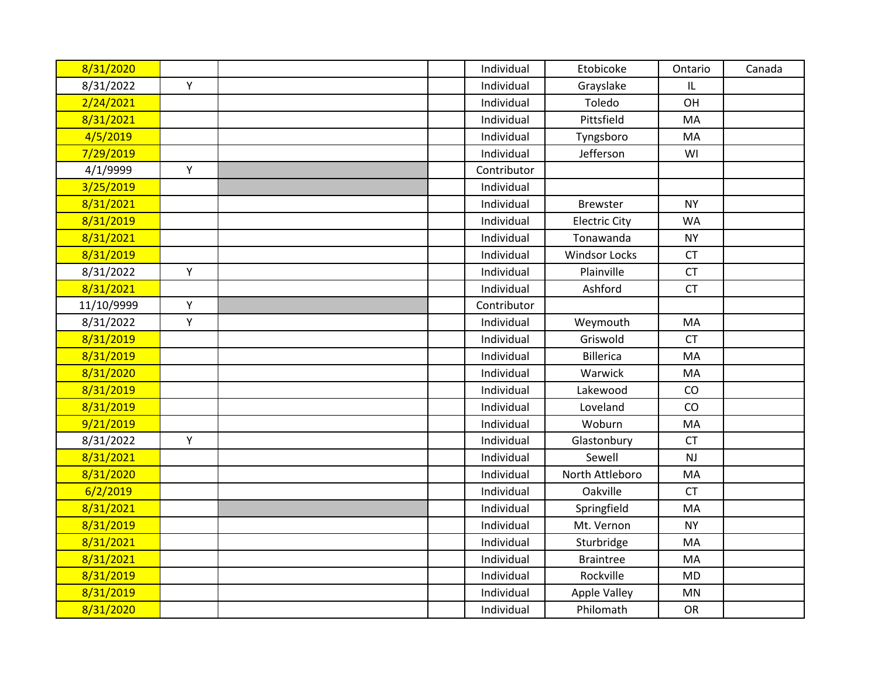| 8/31/2020<br>Individual<br>Etobicoke<br>8/31/2022<br>Y<br>Individual<br>Grayslake<br>2/24/2021<br>Individual<br>Toledo<br>8/31/2021<br>Pittsfield<br>Individual<br>4/5/2019<br>Individual<br>Tyngsboro<br>7/29/2019<br>Individual<br>Jefferson<br>Y<br>Contributor<br>4/1/9999<br>3/25/2019<br>Individual<br>8/31/2021<br>Individual<br><b>Brewster</b><br>8/31/2019<br>Individual<br><b>Electric City</b><br>8/31/2021<br>Individual<br>Tonawanda<br>8/31/2019<br>Individual<br><b>Windsor Locks</b><br>Y<br>8/31/2022<br>Individual<br>Plainville<br>8/31/2021<br>Individual<br>Ashford<br>Υ<br>11/10/9999<br>Contributor<br>Υ<br>8/31/2022<br>Individual<br>Weymouth<br>8/31/2019<br>Individual<br>Griswold<br>8/31/2019<br>Individual<br><b>Billerica</b><br>8/31/2020<br>Individual<br>Warwick<br>8/31/2019<br>Individual<br>Lakewood | Ontario   |        |
|--------------------------------------------------------------------------------------------------------------------------------------------------------------------------------------------------------------------------------------------------------------------------------------------------------------------------------------------------------------------------------------------------------------------------------------------------------------------------------------------------------------------------------------------------------------------------------------------------------------------------------------------------------------------------------------------------------------------------------------------------------------------------------------------------------------------------------------------|-----------|--------|
|                                                                                                                                                                                                                                                                                                                                                                                                                                                                                                                                                                                                                                                                                                                                                                                                                                            |           | Canada |
|                                                                                                                                                                                                                                                                                                                                                                                                                                                                                                                                                                                                                                                                                                                                                                                                                                            | IL        |        |
|                                                                                                                                                                                                                                                                                                                                                                                                                                                                                                                                                                                                                                                                                                                                                                                                                                            | OH        |        |
|                                                                                                                                                                                                                                                                                                                                                                                                                                                                                                                                                                                                                                                                                                                                                                                                                                            | MA        |        |
|                                                                                                                                                                                                                                                                                                                                                                                                                                                                                                                                                                                                                                                                                                                                                                                                                                            | MA        |        |
|                                                                                                                                                                                                                                                                                                                                                                                                                                                                                                                                                                                                                                                                                                                                                                                                                                            | WI        |        |
|                                                                                                                                                                                                                                                                                                                                                                                                                                                                                                                                                                                                                                                                                                                                                                                                                                            |           |        |
|                                                                                                                                                                                                                                                                                                                                                                                                                                                                                                                                                                                                                                                                                                                                                                                                                                            |           |        |
|                                                                                                                                                                                                                                                                                                                                                                                                                                                                                                                                                                                                                                                                                                                                                                                                                                            | <b>NY</b> |        |
|                                                                                                                                                                                                                                                                                                                                                                                                                                                                                                                                                                                                                                                                                                                                                                                                                                            | <b>WA</b> |        |
|                                                                                                                                                                                                                                                                                                                                                                                                                                                                                                                                                                                                                                                                                                                                                                                                                                            | <b>NY</b> |        |
|                                                                                                                                                                                                                                                                                                                                                                                                                                                                                                                                                                                                                                                                                                                                                                                                                                            | <b>CT</b> |        |
|                                                                                                                                                                                                                                                                                                                                                                                                                                                                                                                                                                                                                                                                                                                                                                                                                                            | <b>CT</b> |        |
|                                                                                                                                                                                                                                                                                                                                                                                                                                                                                                                                                                                                                                                                                                                                                                                                                                            | <b>CT</b> |        |
|                                                                                                                                                                                                                                                                                                                                                                                                                                                                                                                                                                                                                                                                                                                                                                                                                                            |           |        |
|                                                                                                                                                                                                                                                                                                                                                                                                                                                                                                                                                                                                                                                                                                                                                                                                                                            | MA        |        |
|                                                                                                                                                                                                                                                                                                                                                                                                                                                                                                                                                                                                                                                                                                                                                                                                                                            | <b>CT</b> |        |
|                                                                                                                                                                                                                                                                                                                                                                                                                                                                                                                                                                                                                                                                                                                                                                                                                                            | MA        |        |
|                                                                                                                                                                                                                                                                                                                                                                                                                                                                                                                                                                                                                                                                                                                                                                                                                                            | MA        |        |
|                                                                                                                                                                                                                                                                                                                                                                                                                                                                                                                                                                                                                                                                                                                                                                                                                                            | CO        |        |
| 8/31/2019<br>Individual<br>Loveland                                                                                                                                                                                                                                                                                                                                                                                                                                                                                                                                                                                                                                                                                                                                                                                                        | CO        |        |
| 9/21/2019<br>Individual<br>Woburn                                                                                                                                                                                                                                                                                                                                                                                                                                                                                                                                                                                                                                                                                                                                                                                                          | MA        |        |
| Υ<br>8/31/2022<br>Individual<br>Glastonbury                                                                                                                                                                                                                                                                                                                                                                                                                                                                                                                                                                                                                                                                                                                                                                                                | <b>CT</b> |        |
| 8/31/2021<br>Individual<br>Sewell                                                                                                                                                                                                                                                                                                                                                                                                                                                                                                                                                                                                                                                                                                                                                                                                          | NJ        |        |
| 8/31/2020<br>Individual<br>North Attleboro                                                                                                                                                                                                                                                                                                                                                                                                                                                                                                                                                                                                                                                                                                                                                                                                 | MA        |        |
| Individual<br>Oakville<br>6/2/2019                                                                                                                                                                                                                                                                                                                                                                                                                                                                                                                                                                                                                                                                                                                                                                                                         | <b>CT</b> |        |
| 8/31/2021<br>Individual<br>Springfield                                                                                                                                                                                                                                                                                                                                                                                                                                                                                                                                                                                                                                                                                                                                                                                                     | MA        |        |
| 8/31/2019<br>Individual<br>Mt. Vernon                                                                                                                                                                                                                                                                                                                                                                                                                                                                                                                                                                                                                                                                                                                                                                                                      | <b>NY</b> |        |
| 8/31/2021<br>Individual<br>Sturbridge                                                                                                                                                                                                                                                                                                                                                                                                                                                                                                                                                                                                                                                                                                                                                                                                      | MA        |        |
| 8/31/2021<br>Individual<br><b>Braintree</b>                                                                                                                                                                                                                                                                                                                                                                                                                                                                                                                                                                                                                                                                                                                                                                                                | MA        |        |
| 8/31/2019<br>Individual<br>Rockville                                                                                                                                                                                                                                                                                                                                                                                                                                                                                                                                                                                                                                                                                                                                                                                                       | <b>MD</b> |        |
| 8/31/2019<br>Individual<br><b>Apple Valley</b>                                                                                                                                                                                                                                                                                                                                                                                                                                                                                                                                                                                                                                                                                                                                                                                             | MN        |        |
| 8/31/2020<br>Philomath<br>Individual                                                                                                                                                                                                                                                                                                                                                                                                                                                                                                                                                                                                                                                                                                                                                                                                       | <b>OR</b> |        |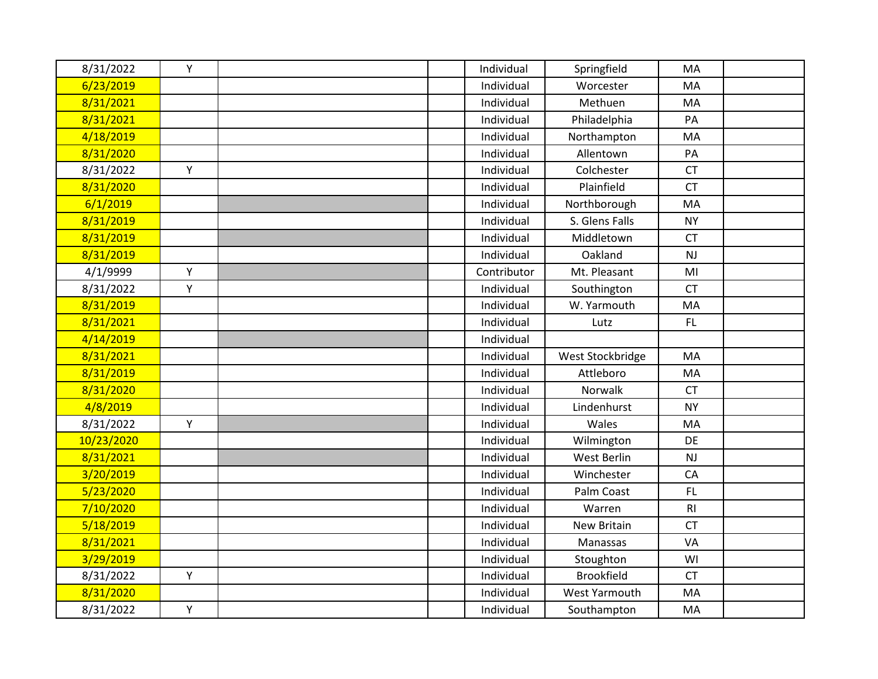| 8/31/2022  | Y | Individual  | Springfield        | MA             |  |
|------------|---|-------------|--------------------|----------------|--|
| 6/23/2019  |   | Individual  | Worcester          | MA             |  |
| 8/31/2021  |   | Individual  | Methuen            | MA             |  |
| 8/31/2021  |   | Individual  | Philadelphia       | PA             |  |
| 4/18/2019  |   | Individual  | Northampton        | MA             |  |
| 8/31/2020  |   | Individual  | Allentown          | PA             |  |
| 8/31/2022  | Y | Individual  | Colchester         | <b>CT</b>      |  |
| 8/31/2020  |   | Individual  | Plainfield         | CT             |  |
| 6/1/2019   |   | Individual  | Northborough       | MA             |  |
| 8/31/2019  |   | Individual  | S. Glens Falls     | <b>NY</b>      |  |
| 8/31/2019  |   | Individual  | Middletown         | <b>CT</b>      |  |
| 8/31/2019  |   | Individual  | Oakland            | NJ             |  |
| 4/1/9999   | Y | Contributor | Mt. Pleasant       | MI             |  |
| 8/31/2022  | Y | Individual  | Southington        | <b>CT</b>      |  |
| 8/31/2019  |   | Individual  | W. Yarmouth        | MA             |  |
| 8/31/2021  |   | Individual  | Lutz               | FL.            |  |
| 4/14/2019  |   | Individual  |                    |                |  |
| 8/31/2021  |   | Individual  | West Stockbridge   | MA             |  |
| 8/31/2019  |   | Individual  | Attleboro          | MA             |  |
| 8/31/2020  |   | Individual  | Norwalk            | <b>CT</b>      |  |
| 4/8/2019   |   | Individual  | Lindenhurst        | <b>NY</b>      |  |
| 8/31/2022  | Y | Individual  | Wales              | MA             |  |
| 10/23/2020 |   | Individual  | Wilmington         | DE             |  |
| 8/31/2021  |   | Individual  | <b>West Berlin</b> | NJ             |  |
| 3/20/2019  |   | Individual  | Winchester         | CA             |  |
| 5/23/2020  |   | Individual  | Palm Coast         | FL.            |  |
| 7/10/2020  |   | Individual  | Warren             | R <sub>l</sub> |  |
| 5/18/2019  |   | Individual  | New Britain        | CT             |  |
| 8/31/2021  |   | Individual  | Manassas           | VA             |  |
| 3/29/2019  |   | Individual  | Stoughton          | WI             |  |
| 8/31/2022  | Y | Individual  | <b>Brookfield</b>  | <b>CT</b>      |  |
| 8/31/2020  |   | Individual  | West Yarmouth      | MA             |  |
| 8/31/2022  | Y | Individual  | Southampton        | MA             |  |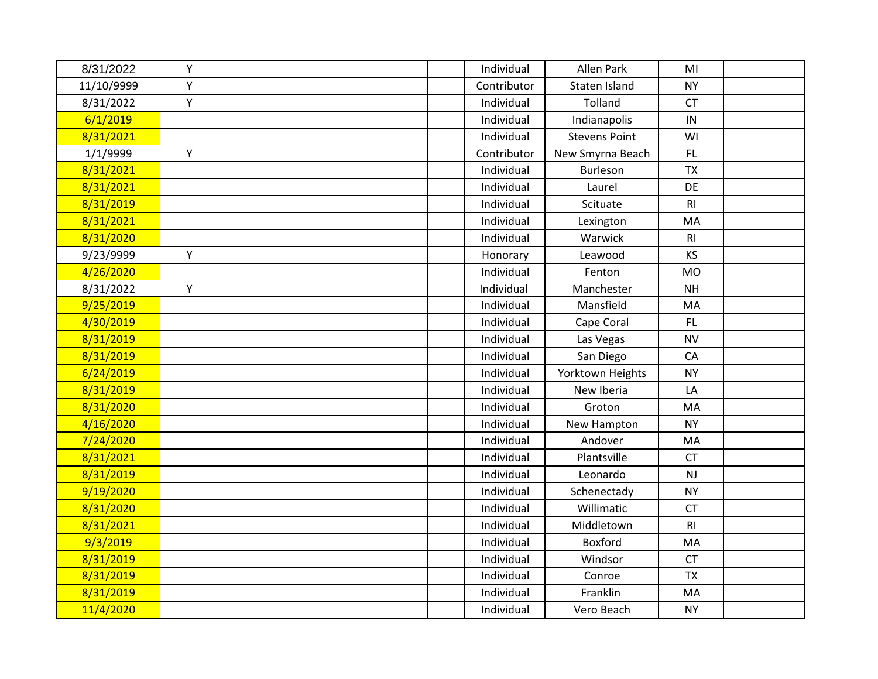| 8/31/2022  | Υ           | Individual  | <b>Allen Park</b>    | MI             |  |
|------------|-------------|-------------|----------------------|----------------|--|
| 11/10/9999 | Υ           | Contributor | Staten Island        | <b>NY</b>      |  |
| 8/31/2022  | Y           | Individual  | Tolland              | <b>CT</b>      |  |
| 6/1/2019   |             | Individual  | Indianapolis         | ${\sf IN}$     |  |
| 8/31/2021  |             | Individual  | <b>Stevens Point</b> | WI             |  |
| 1/1/9999   | Y           | Contributor | New Smyrna Beach     | FL             |  |
| 8/31/2021  |             | Individual  | Burleson             | <b>TX</b>      |  |
| 8/31/2021  |             | Individual  | Laurel               | DE             |  |
| 8/31/2019  |             | Individual  | Scituate             | R <sub>l</sub> |  |
| 8/31/2021  |             | Individual  | Lexington            | MA             |  |
| 8/31/2020  |             | Individual  | Warwick              | R <sub>l</sub> |  |
| 9/23/9999  | $\mathsf Y$ | Honorary    | Leawood              | KS             |  |
| 4/26/2020  |             | Individual  | Fenton               | <b>MO</b>      |  |
| 8/31/2022  | $\mathsf Y$ | Individual  | Manchester           | <b>NH</b>      |  |
| 9/25/2019  |             | Individual  | Mansfield            | MA             |  |
| 4/30/2019  |             | Individual  | Cape Coral           | FL             |  |
| 8/31/2019  |             | Individual  | Las Vegas            | <b>NV</b>      |  |
| 8/31/2019  |             | Individual  | San Diego            | CA             |  |
| 6/24/2019  |             | Individual  | Yorktown Heights     | <b>NY</b>      |  |
| 8/31/2019  |             | Individual  | New Iberia           | LA             |  |
| 8/31/2020  |             | Individual  | Groton               | MA             |  |
| 4/16/2020  |             | Individual  | New Hampton          | <b>NY</b>      |  |
| 7/24/2020  |             | Individual  | Andover              | MA             |  |
| 8/31/2021  |             | Individual  | Plantsville          | <b>CT</b>      |  |
| 8/31/2019  |             | Individual  | Leonardo             | <b>NJ</b>      |  |
| 9/19/2020  |             | Individual  | Schenectady          | <b>NY</b>      |  |
| 8/31/2020  |             | Individual  | Willimatic           | CT             |  |
| 8/31/2021  |             | Individual  | Middletown           | R <sub>l</sub> |  |
| 9/3/2019   |             | Individual  | Boxford              | MA             |  |
| 8/31/2019  |             | Individual  | Windsor              | <b>CT</b>      |  |
| 8/31/2019  |             | Individual  | Conroe               | <b>TX</b>      |  |
| 8/31/2019  |             | Individual  | Franklin             | MA             |  |
| 11/4/2020  |             | Individual  | Vero Beach           | <b>NY</b>      |  |